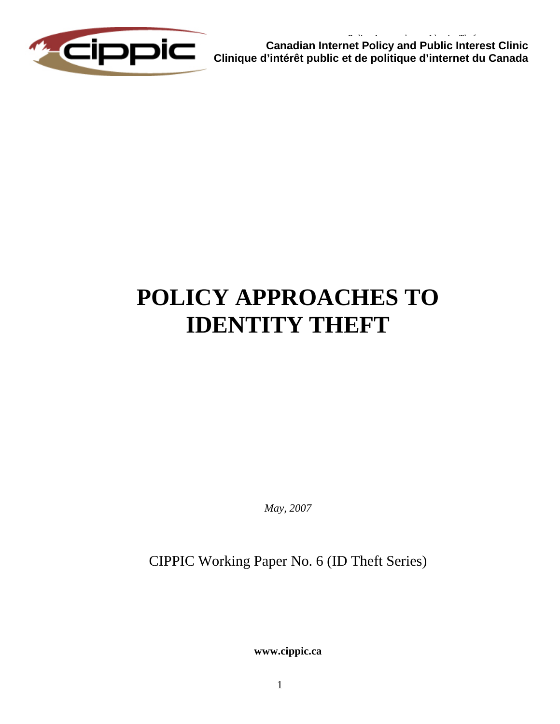

**Canadian Internet Policy and Public Interest Clinic Clinique d'intérêt public et de politique d'internet du Canada** 

# **POLICY APPROACHES TO IDENTITY THEFT**

*May, 2007* 

CIPPIC Working Paper No. 6 (ID Theft Series)

**www.cippic.ca**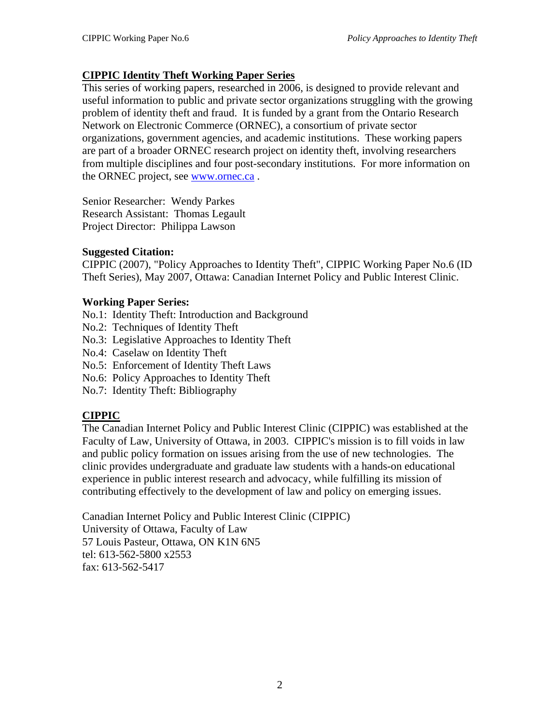# **CIPPIC Identity Theft Working Paper Series**

This series of working papers, researched in 2006, is designed to provide relevant and useful information to public and private sector organizations struggling with the growing problem of identity theft and fraud. It is funded by a grant from the Ontario Research Network on Electronic Commerce (ORNEC), a consortium of private sector organizations, government agencies, and academic institutions. These working papers are part of a broader ORNEC research project on identity theft, involving researchers from multiple disciplines and four post-secondary institutions. For more information on the ORNEC project, see [www.ornec.ca](http://www.ornec.ca/) .

Senior Researcher: Wendy Parkes Research Assistant: Thomas Legault Project Director: Philippa Lawson

# **Suggested Citation:**

CIPPIC (2007), "Policy Approaches to Identity Theft", CIPPIC Working Paper No.6 (ID Theft Series), May 2007, Ottawa: Canadian Internet Policy and Public Interest Clinic.

# **Working Paper Series:**

- No.1: Identity Theft: Introduction and Background
- No.2: Techniques of Identity Theft
- No.3: Legislative Approaches to Identity Theft
- No.4: Caselaw on Identity Theft
- No.5: Enforcement of Identity Theft Laws
- No.6: Policy Approaches to Identity Theft
- No.7: Identity Theft: Bibliography

# **CIPPIC**

The Canadian Internet Policy and Public Interest Clinic (CIPPIC) was established at the Faculty of Law, University of Ottawa, in 2003. CIPPIC's mission is to fill voids in law and public policy formation on issues arising from the use of new technologies. The clinic provides undergraduate and graduate law students with a hands-on educational experience in public interest research and advocacy, while fulfilling its mission of contributing effectively to the development of law and policy on emerging issues.

Canadian Internet Policy and Public Interest Clinic (CIPPIC) University of Ottawa, Faculty of Law 57 Louis Pasteur, Ottawa, ON K1N 6N5 tel: 613-562-5800 x2553 fax: 613-562-5417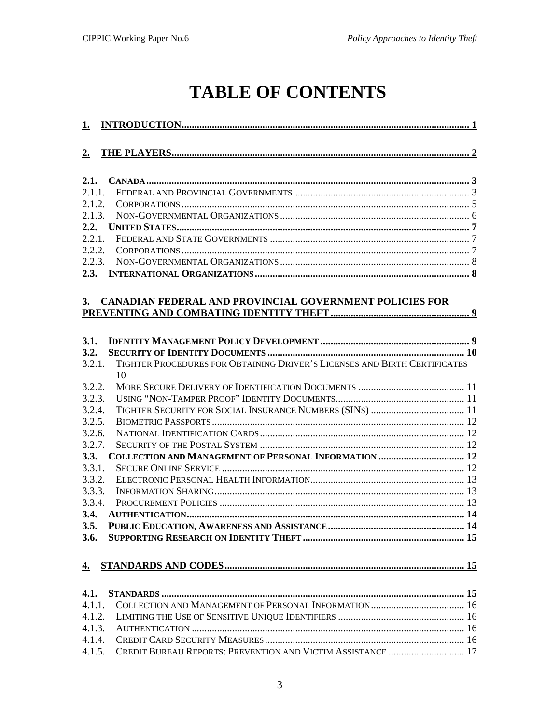# **TABLE OF CONTENTS**

| <u>1.</u> |                                                                                 |
|-----------|---------------------------------------------------------------------------------|
| 2.        |                                                                                 |
| 2.1.      |                                                                                 |
| 2.1.1.    |                                                                                 |
| 2.1.2.    |                                                                                 |
| 2.1.3.    |                                                                                 |
| 2.2.      |                                                                                 |
| 2.2.1.    |                                                                                 |
| 2.2.2.    |                                                                                 |
| 2.2.3.    |                                                                                 |
| 2.3.      |                                                                                 |
| 3.        | <b>CANADIAN FEDERAL AND PROVINCIAL GOVERNMENT POLICIES FOR</b>                  |
| 3.1.      |                                                                                 |
| 3.2.      |                                                                                 |
| 3.2.1.    | TIGHTER PROCEDURES FOR OBTAINING DRIVER'S LICENSES AND BIRTH CERTIFICATES<br>10 |
| 3.2.2.    |                                                                                 |
| 3.2.3.    |                                                                                 |
| 3.2.4.    |                                                                                 |
| 3.2.5.    |                                                                                 |
| 3.2.6.    |                                                                                 |
| 3.2.7.    |                                                                                 |
| 3.3.      | <b>COLLECTION AND MANAGEMENT OF PERSONAL INFORMATION  12</b>                    |
| 3.3.1.    |                                                                                 |
| 3.3.2.    |                                                                                 |
| 3.3.3.    |                                                                                 |
| 3.3.4.    |                                                                                 |
| 3.4.      |                                                                                 |
| 3.5.      |                                                                                 |
| 3.6.      |                                                                                 |
| 4.        |                                                                                 |
| 4.1.      |                                                                                 |
| 4.1.1.    |                                                                                 |
| 4.1.2.    |                                                                                 |
| 4.1.3.    |                                                                                 |
| 4.1.4.    |                                                                                 |
| 4.1.5.    | CREDIT BUREAU REPORTS: PREVENTION AND VICTIM ASSISTANCE  17                     |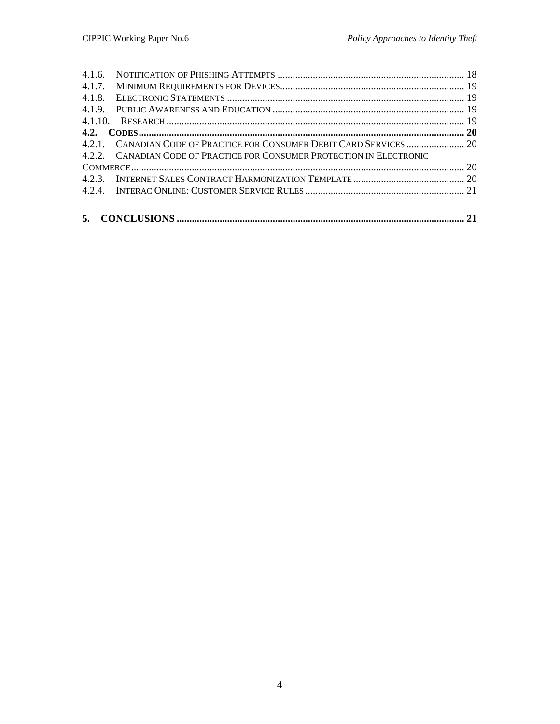| 4.1.7. |                                                                        |  |
|--------|------------------------------------------------------------------------|--|
| 4.1.8. |                                                                        |  |
|        |                                                                        |  |
|        |                                                                        |  |
|        |                                                                        |  |
|        |                                                                        |  |
|        | 4.2.2. CANADIAN CODE OF PRACTICE FOR CONSUMER PROTECTION IN ELECTRONIC |  |
|        |                                                                        |  |
|        |                                                                        |  |
|        |                                                                        |  |
|        |                                                                        |  |
|        |                                                                        |  |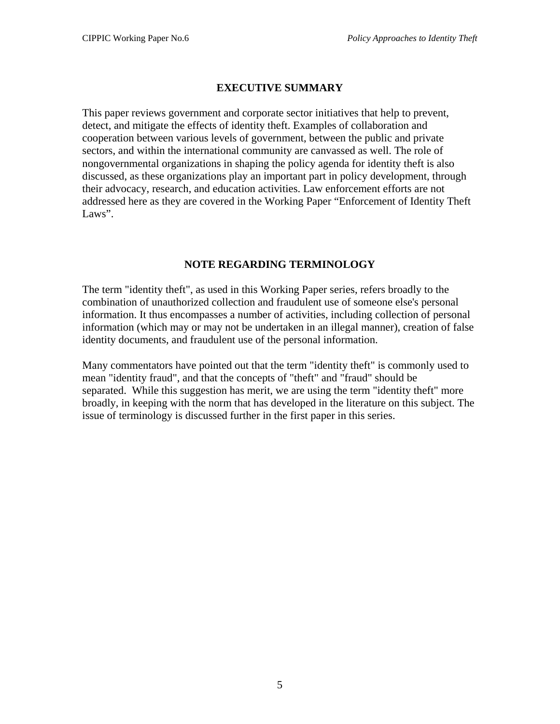# **EXECUTIVE SUMMARY**

This paper reviews government and corporate sector initiatives that help to prevent, detect, and mitigate the effects of identity theft. Examples of collaboration and cooperation between various levels of government, between the public and private sectors, and within the international community are canvassed as well. The role of nongovernmental organizations in shaping the policy agenda for identity theft is also discussed, as these organizations play an important part in policy development, through their advocacy, research, and education activities. Law enforcement efforts are not addressed here as they are covered in the Working Paper "Enforcement of Identity Theft Laws".

# **NOTE REGARDING TERMINOLOGY**

The term "identity theft", as used in this Working Paper series, refers broadly to the combination of unauthorized collection and fraudulent use of someone else's personal information. It thus encompasses a number of activities, including collection of personal information (which may or may not be undertaken in an illegal manner), creation of false identity documents, and fraudulent use of the personal information.

Many commentators have pointed out that the term "identity theft" is commonly used to mean "identity fraud", and that the concepts of "theft" and "fraud" should be separated. While this suggestion has merit, we are using the term "identity theft" more broadly, in keeping with the norm that has developed in the literature on this subject. The issue of terminology is discussed further in the first paper in this series.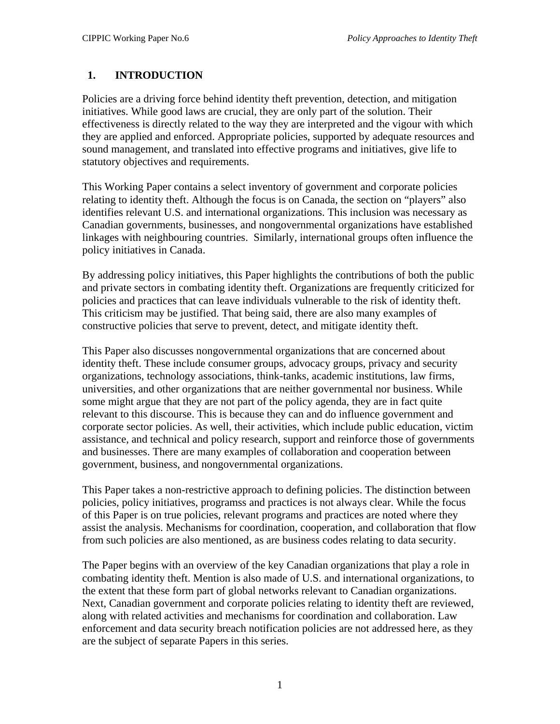# <span id="page-5-0"></span>**1. INTRODUCTION**

Policies are a driving force behind identity theft prevention, detection, and mitigation initiatives. While good laws are crucial, they are only part of the solution. Their effectiveness is directly related to the way they are interpreted and the vigour with which they are applied and enforced. Appropriate policies, supported by adequate resources and sound management, and translated into effective programs and initiatives, give life to statutory objectives and requirements.

This Working Paper contains a select inventory of government and corporate policies relating to identity theft. Although the focus is on Canada, the section on "players" also identifies relevant U.S. and international organizations. This inclusion was necessary as Canadian governments, businesses, and nongovernmental organizations have established linkages with neighbouring countries. Similarly, international groups often influence the policy initiatives in Canada.

By addressing policy initiatives, this Paper highlights the contributions of both the public and private sectors in combating identity theft. Organizations are frequently criticized for policies and practices that can leave individuals vulnerable to the risk of identity theft. This criticism may be justified. That being said, there are also many examples of constructive policies that serve to prevent, detect, and mitigate identity theft.

This Paper also discusses nongovernmental organizations that are concerned about identity theft. These include consumer groups, advocacy groups, privacy and security organizations, technology associations, think-tanks, academic institutions, law firms, universities, and other organizations that are neither governmental nor business. While some might argue that they are not part of the policy agenda, they are in fact quite relevant to this discourse. This is because they can and do influence government and corporate sector policies. As well, their activities, which include public education, victim assistance, and technical and policy research, support and reinforce those of governments and businesses. There are many examples of collaboration and cooperation between government, business, and nongovernmental organizations.

This Paper takes a non-restrictive approach to defining policies. The distinction between policies, policy initiatives, programss and practices is not always clear. While the focus of this Paper is on true policies, relevant programs and practices are noted where they assist the analysis. Mechanisms for coordination, cooperation, and collaboration that flow from such policies are also mentioned, as are business codes relating to data security.

The Paper begins with an overview of the key Canadian organizations that play a role in combating identity theft. Mention is also made of U.S. and international organizations, to the extent that these form part of global networks relevant to Canadian organizations. Next, Canadian government and corporate policies relating to identity theft are reviewed, along with related activities and mechanisms for coordination and collaboration. Law enforcement and data security breach notification policies are not addressed here, as they are the subject of separate Papers in this series.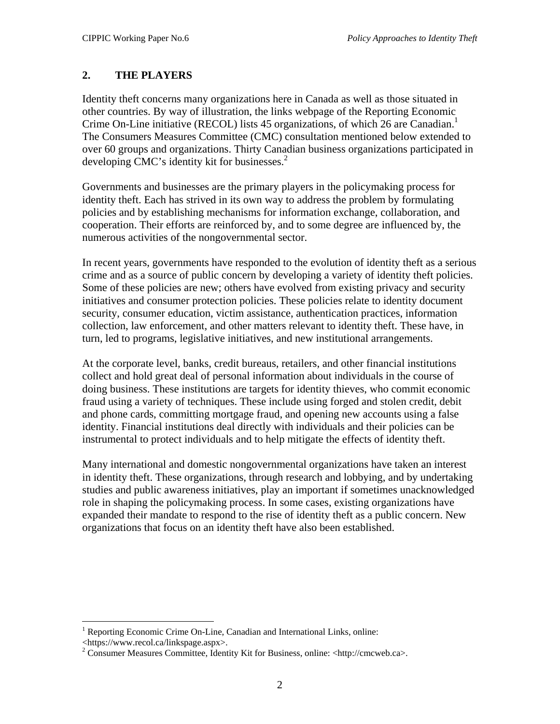# <span id="page-6-0"></span>**2. THE PLAYERS**

Identity theft concerns many organizations here in Canada as well as those situated in other countries. By way of illustration, the links webpage of the Reporting Economic Crime On-Line initiative (RECOL) lists 45 organizations, of which 26 are Canadian.<sup>[1](#page-6-1)</sup> The Consumers Measures Committee (CMC) consultation mentioned below extended to over 60 groups and organizations. Thirty Canadian business organizations participated in developing CMC's identity kit for businesses.<sup>[2](#page-6-2)</sup>

Governments and businesses are the primary players in the policymaking process for identity theft. Each has strived in its own way to address the problem by formulating policies and by establishing mechanisms for information exchange, collaboration, and cooperation. Their efforts are reinforced by, and to some degree are influenced by, the numerous activities of the nongovernmental sector.

In recent years, governments have responded to the evolution of identity theft as a serious crime and as a source of public concern by developing a variety of identity theft policies. Some of these policies are new; others have evolved from existing privacy and security initiatives and consumer protection policies. These policies relate to identity document security, consumer education, victim assistance, authentication practices, information collection, law enforcement, and other matters relevant to identity theft. These have, in turn, led to programs, legislative initiatives, and new institutional arrangements.

At the corporate level, banks, credit bureaus, retailers, and other financial institutions collect and hold great deal of personal information about individuals in the course of doing business. These institutions are targets for identity thieves, who commit economic fraud using a variety of techniques. These include using forged and stolen credit, debit and phone cards, committing mortgage fraud, and opening new accounts using a false identity. Financial institutions deal directly with individuals and their policies can be instrumental to protect individuals and to help mitigate the effects of identity theft.

Many international and domestic nongovernmental organizations have taken an interest in identity theft. These organizations, through research and lobbying, and by undertaking studies and public awareness initiatives, play an important if sometimes unacknowledged role in shaping the policymaking process. In some cases, existing organizations have expanded their mandate to respond to the rise of identity theft as a public concern. New organizations that focus on an identity theft have also been established.

1

<span id="page-6-1"></span><sup>&</sup>lt;sup>1</sup> Reporting Economic Crime On-Line, Canadian and International Links, online:

<span id="page-6-2"></span>

<sup>&</sup>lt;https://www.recol.ca/linkspage.aspx>. 2 Consumer Measures Committee, Identity Kit for Business, online: <http://cmcweb.ca>.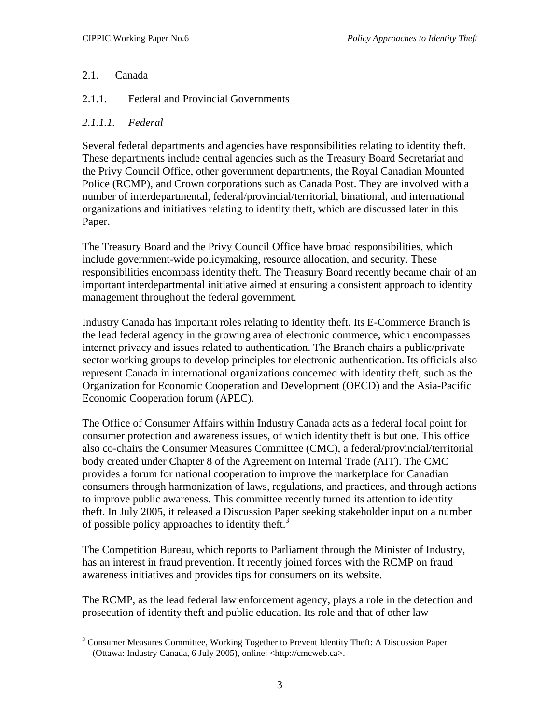# <span id="page-7-0"></span>2.1. Canada

# 2.1.1. Federal and Provincial Governments

# *2.1.1.1. Federal*

Several federal departments and agencies have responsibilities relating to identity theft. These departments include central agencies such as the Treasury Board Secretariat and the Privy Council Office, other government departments, the Royal Canadian Mounted Police (RCMP), and Crown corporations such as Canada Post. They are involved with a number of interdepartmental, federal/provincial/territorial, binational, and international organizations and initiatives relating to identity theft, which are discussed later in this Paper.

The Treasury Board and the Privy Council Office have broad responsibilities, which include government-wide policymaking, resource allocation, and security. These responsibilities encompass identity theft. The Treasury Board recently became chair of an important interdepartmental initiative aimed at ensuring a consistent approach to identity management throughout the federal government.

Industry Canada has important roles relating to identity theft. Its E-Commerce Branch is the lead federal agency in the growing area of electronic commerce, which encompasses internet privacy and issues related to authentication. The Branch chairs a public/private sector working groups to develop principles for electronic authentication. Its officials also represent Canada in international organizations concerned with identity theft, such as the Organization for Economic Cooperation and Development (OECD) and the Asia-Pacific Economic Cooperation forum (APEC).

The Office of Consumer Affairs within Industry Canada acts as a federal focal point for consumer protection and awareness issues, of which identity theft is but one. This office also co-chairs the Consumer Measures Committee (CMC), a federal/provincial/territorial body created under Chapter 8 of the Agreement on Internal Trade (AIT). The CMC provides a forum for national cooperation to improve the marketplace for Canadian consumers through harmonization of laws, regulations, and practices, and through actions to improve public awareness. This committee recently turned its attention to identity theft. In July 2005, it released a Discussion Paper seeking stakeholder input on a number of possible policy approaches to identity theft.<sup>[3](#page-7-1)</sup>

The Competition Bureau, which reports to Parliament through the Minister of Industry, has an interest in fraud prevention. It recently joined forces with the RCMP on fraud awareness initiatives and provides tips for consumers on its website.

The RCMP, as the lead federal law enforcement agency, plays a role in the detection and prosecution of identity theft and public education. Its role and that of other law

<span id="page-7-1"></span> $\overline{a}$ <sup>3</sup> Consumer Measures Committee, Working Together to Prevent Identity Theft: A Discussion Paper (Ottawa: Industry Canada, 6 July 2005), online: <http://cmcweb.ca>.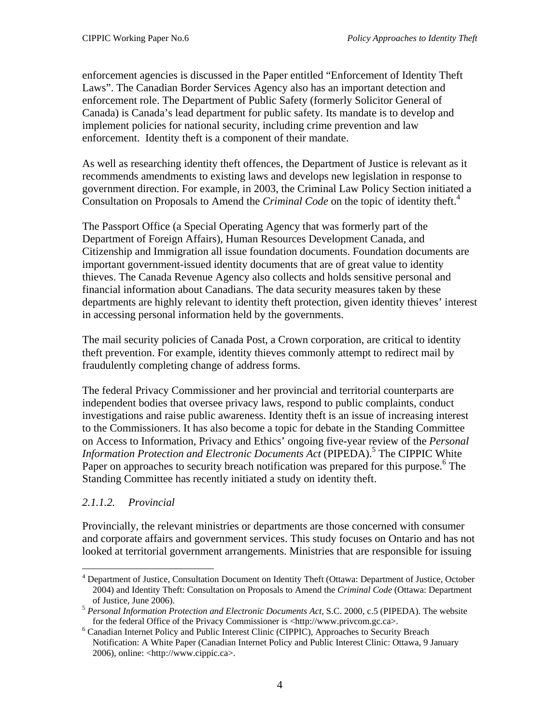enforcement agencies is discussed in the Paper entitled "Enforcement of Identity Theft Laws". The Canadian Border Services Agency also has an important detection and enforcement role. The Department of Public Safety (formerly Solicitor General of Canada) is Canada's lead department for public safety. Its mandate is to develop and implement policies for national security, including crime prevention and law enforcement. Identity theft is a component of their mandate.

As well as researching identity theft offences, the Department of Justice is relevant as it recommends amendments to existing laws and develops new legislation in response to government direction. For example, in 2003, the Criminal Law Policy Section initiated a Consultation on Proposals to Amend the *Criminal Code* on the topic of identity theft.<sup>[4](#page-8-0)</sup>

The Passport Office (a Special Operating Agency that was formerly part of the Department of Foreign Affairs), Human Resources Development Canada, and Citizenship and Immigration all issue foundation documents. Foundation documents are important government-issued identity documents that are of great value to identity thieves. The Canada Revenue Agency also collects and holds sensitive personal and financial information about Canadians. The data security measures taken by these departments are highly relevant to identity theft protection, given identity thieves' interest in accessing personal information held by the governments.

The mail security policies of Canada Post, a Crown corporation, are critical to identity theft prevention. For example, identity thieves commonly attempt to redirect mail by fraudulently completing change of address forms.

The federal Privacy Commissioner and her provincial and territorial counterparts are independent bodies that oversee privacy laws, respond to public complaints, conduct investigations and raise public awareness. Identity theft is an issue of increasing interest to the Commissioners. It has also become a topic for debate in the Standing Committee on Access to Information, Privacy and Ethics' ongoing five-year review of the *Personal*  Information Protection and Electronic Documents Act (PIPEDA).<sup>[5](#page-8-1)</sup> The CIPPIC White Paper on approaches to security breach notification was prepared for this purpose.<sup>[6](#page-8-2)</sup> The Standing Committee has recently initiated a study on identity theft.

# *2.1.1.2. Provincial*

 $\overline{a}$ 

Provincially, the relevant ministries or departments are those concerned with consumer and corporate affairs and government services. This study focuses on Ontario and has not looked at territorial government arrangements. Ministries that are responsible for issuing

<span id="page-8-0"></span><sup>&</sup>lt;sup>4</sup> Department of Justice, Consultation Document on Identity Theft (Ottawa: Department of Justice, October 2004) and Identity Theft: Consultation on Proposals to Amend the *Criminal Code* (Ottawa: Department

<span id="page-8-1"></span>of Justice, June 2006). 5 *Personal Information Protection and Electronic Documents Act*, S.C. 2000, c.5 (PIPEDA). The website for the federal Office of the Privacy Commissioner is <http://www.privcom.gc.ca>.

<span id="page-8-2"></span>Canadian Internet Policy and Public Interest Clinic (CIPPIC), Approaches to Security Breach Notification: A White Paper (Canadian Internet Policy and Public Interest Clinic: Ottawa, 9 January 2006), online: <http://www.cippic.ca>.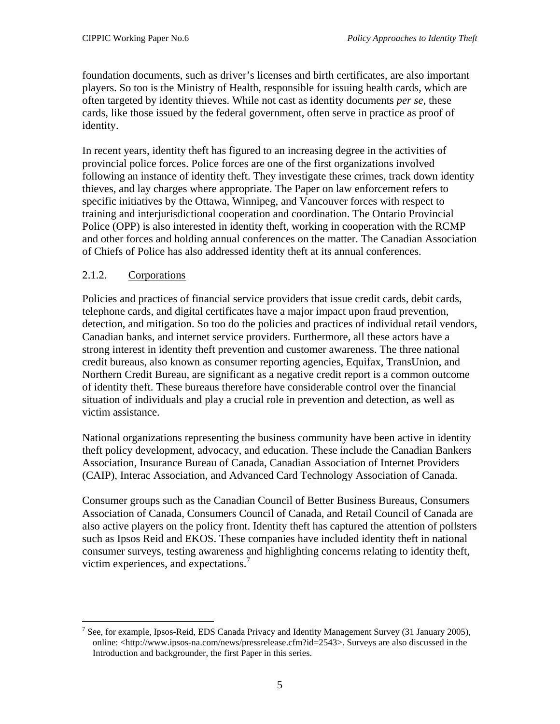<span id="page-9-0"></span>foundation documents, such as driver's licenses and birth certificates, are also important players. So too is the Ministry of Health, responsible for issuing health cards, which are often targeted by identity thieves. While not cast as identity documents *per se*, these cards, like those issued by the federal government, often serve in practice as proof of identity.

In recent years, identity theft has figured to an increasing degree in the activities of provincial police forces. Police forces are one of the first organizations involved following an instance of identity theft. They investigate these crimes, track down identity thieves, and lay charges where appropriate. The Paper on law enforcement refers to specific initiatives by the Ottawa, Winnipeg, and Vancouver forces with respect to training and interjurisdictional cooperation and coordination. The Ontario Provincial Police (OPP) is also interested in identity theft, working in cooperation with the RCMP and other forces and holding annual conferences on the matter. The Canadian Association of Chiefs of Police has also addressed identity theft at its annual conferences.

# 2.1.2. Corporations

1

Policies and practices of financial service providers that issue credit cards, debit cards, telephone cards, and digital certificates have a major impact upon fraud prevention, detection, and mitigation. So too do the policies and practices of individual retail vendors, Canadian banks, and internet service providers. Furthermore, all these actors have a strong interest in identity theft prevention and customer awareness. The three national credit bureaus, also known as consumer reporting agencies, Equifax, TransUnion, and Northern Credit Bureau, are significant as a negative credit report is a common outcome of identity theft. These bureaus therefore have considerable control over the financial situation of individuals and play a crucial role in prevention and detection, as well as victim assistance.

National organizations representing the business community have been active in identity theft policy development, advocacy, and education. These include the Canadian Bankers Association, Insurance Bureau of Canada, Canadian Association of Internet Providers (CAIP), Interac Association, and Advanced Card Technology Association of Canada.

Consumer groups such as the Canadian Council of Better Business Bureaus, Consumers Association of Canada, Consumers Council of Canada, and Retail Council of Canada are also active players on the policy front. Identity theft has captured the attention of pollsters such as Ipsos Reid and EKOS. These companies have included identity theft in national consumer surveys, testing awareness and highlighting concerns relating to identity theft, victim experiences, and expectations.<sup>[7](#page-9-1)</sup>

<span id="page-9-1"></span><sup>&</sup>lt;sup>7</sup> See, for example, Ipsos-Reid, EDS Canada Privacy and Identity Management Survey (31 January 2005), online: <http://www.ipsos-na.com/news/pressrelease.cfm?id=2543>. Surveys are also discussed in the Introduction and backgrounder, the first Paper in this series.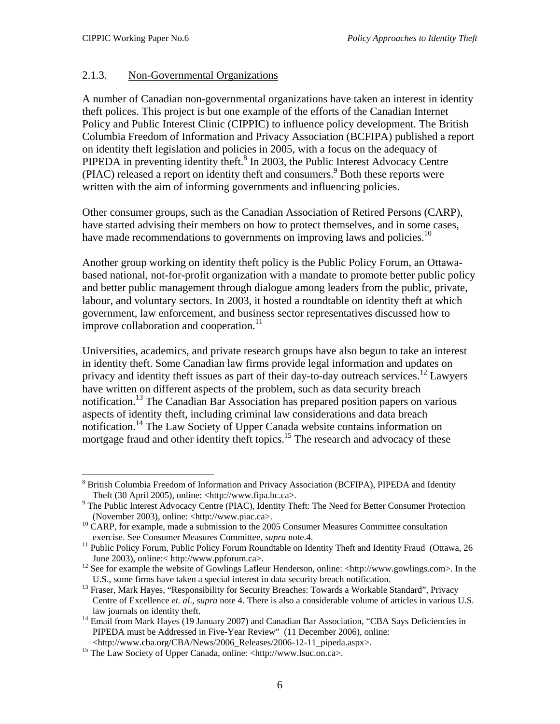1

# <span id="page-10-0"></span>2.1.3. Non-Governmental Organizations

A number of Canadian non-governmental organizations have taken an interest in identity theft polices. This project is but one example of the efforts of the Canadian Internet Policy and Public Interest Clinic (CIPPIC) to influence policy development. The British Columbia Freedom of Information and Privacy Association (BCFIPA) published a report on identity theft legislation and policies in 2005, with a focus on the adequacy of PIPEDA in preventing identity theft.<sup>8</sup> In 2003, the Public Interest Advocacy Centre (PIAC)released a report on identity theft and consumers.<sup>9</sup> Both these reports were written with the aim of informing governments and influencing policies.

Other consumer groups, such as the Canadian Association of Retired Persons (CARP), have started advising their members on how to protect themselves, and in some cases, have made recommendations to governments on improving laws and policies.<sup>10</sup>

Another group working on identity theft policy is the Public Policy Forum, an Ottawabased national, not-for-profit organization with a mandate to promote better public policy and better public management through dialogue among leaders from the public, private, labour, and voluntary sectors. In 2003, it hosted a roundtable on identity theft at which government, law enforcement, and business sector representatives discussed how to improve collaboration and cooperation. $11$ 

Universities, academics, and private research groups have also begun to take an interest in identity theft. Some Canadian law firms provide legal information and updates on privacy and identity theft issues as part of their day-to-day outreach services.<sup>12</sup> Lawyers have written on different aspects of the problem, such as data security breach notification.<sup>13</sup> The Canadian Bar Association has prepared position papers on various aspects of identity theft, including criminal law considerations and data breach notification.<sup>14</sup> The Law Society of Upper Canada website contains information on mortgage fraud and other identity theft topics.<sup>15</sup> The research and advocacy of these

<span id="page-10-1"></span><sup>&</sup>lt;sup>8</sup> British Columbia Freedom of Information and Privacy Association (BCFIPA), PIPEDA and Identity Theft (30 April 2005), online:  $\langle$ http://www.fipa.bc.ca>.

<span id="page-10-2"></span><sup>&</sup>lt;sup>9</sup> The Public Interest Advocacy Centre (PIAC), Identity Theft: The Need for Better Consumer Protection

<span id="page-10-3"></span><sup>(</sup>November 2003), online: <http://www.piac.ca>. 10 CARP, for example, made a submission to the 2005 Consumer Measures Committee consultation

<span id="page-10-4"></span>exercise. See Consumer Measures Committee, *supra* note.4. 11 Public Policy Forum, Public Policy Forum Roundtable on Identity Theft and Identity Fraud (Ottawa, 26

<span id="page-10-5"></span>June 2003), online:< http://www.ppforum.ca>. 12 See for example the website of Gowlings Lafleur Henderson, online: <http://www.gowlings.com>. In the

<span id="page-10-6"></span>U.S., some firms have taken a special interest in data security breach notification.<br><sup>13</sup> Fraser, Mark Hayes, "Responsibility for Security Breaches: Towards a Workable Standard", Privacy Centre of Excellence *et. al*., *supra* note 4. There is also a considerable volume of articles in various U.S.

<span id="page-10-7"></span>law journals on identity theft.<br><sup>14</sup> Email from Mark Hayes (19 January 2007) and Canadian Bar Association, "CBA Says Deficiencies in PIPEDA must be Addressed in Five-Year Review" (11 December 2006), online:

<span id="page-10-8"></span><sup>&</sup>lt;http://www.cba.org/CBA/News/2006\_Releases/2006-12-11\_pipeda.aspx>. 15 The Law Society of Upper Canada, online: <http://www.lsuc.on.ca>.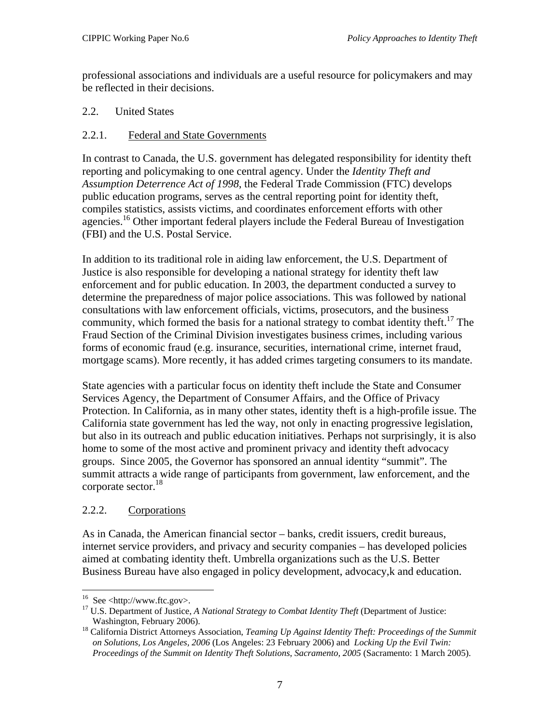<span id="page-11-0"></span>professional associations and individuals are a useful resource for policymakers and may be reflected in their decisions.

# 2.2. United States

# 2.2.1. Federal and State Governments

In contrast to Canada, the U.S. government has delegated responsibility for identity theft reporting and policymaking to one central agency. Under the *Identity Theft and Assumption Deterrence Act of 1998*, the Federal Trade Commission (FTC) develops public education programs, serves as the central reporting point for identity theft, compiles statistics, assists victims, and coordinates enforcement efforts with other agencies.<sup>16</sup> Other important federal players include the Federal Bureau of Investigation (FBI) and the U.S. Postal Service.

In addition to its traditional role in aiding law enforcement, the U.S. Department of Justice is also responsible for developing a national strategy for identity theft law enforcement and for public education. In 2003, the department conducted a survey to determine the preparedness of major police associations. This was followed by national consultations with law enforcement officials, victims, prosecutors, and the business community, which formed the basis for a national strategy to combat identity theft.<sup>[17](#page-11-2)</sup> The Fraud Section of the Criminal Division investigates business crimes, including various forms of economic fraud (e.g. insurance, securities, international crime, internet fraud, mortgage scams). More recently, it has added crimes targeting consumers to its mandate.

State agencies with a particular focus on identity theft include the State and Consumer Services Agency, the Department of Consumer Affairs, and the Office of Privacy Protection. In California, as in many other states, identity theft is a high-profile issue. The California state government has led the way, not only in enacting progressive legislation, but also in its outreach and public education initiatives. Perhaps not surprisingly, it is also home to some of the most active and prominent privacy and identity theft advocacy groups. Since 2005, the Governor has sponsored an annual identity "summit". The summit attracts a wide range of participants from government, law enforcement, and the corporate sector.<sup>18</sup>

# 2.2.2. Corporations

As in Canada, the American financial sector – banks, credit issuers, credit bureaus, internet service providers, and privacy and security companies – has developed policies aimed at combating identity theft. Umbrella organizations such as the U.S. Better Business Bureau have also engaged in policy development, advocacy,k and education.

<span id="page-11-1"></span><sup>&</sup>lt;sup>16</sup> See <http://www.ftc.gov>.

<span id="page-11-2"></span><sup>&</sup>lt;sup>17</sup> U.S. Department of Justice, *A National Strategy to Combat Identity Theft* (Department of Justice:

<span id="page-11-3"></span>Washington, February 2006). 18 California District Attorneys Association, *Teaming Up Against Identity Theft: Proceedings of the Summit on Solutions, Los Angeles, 2006* (Los Angeles: 23 February 2006) and *Locking Up the Evil Twin: Proceedings of the Summit on Identity Theft Solutions*, *Sacramento, 2005* (Sacramento: 1 March 2005).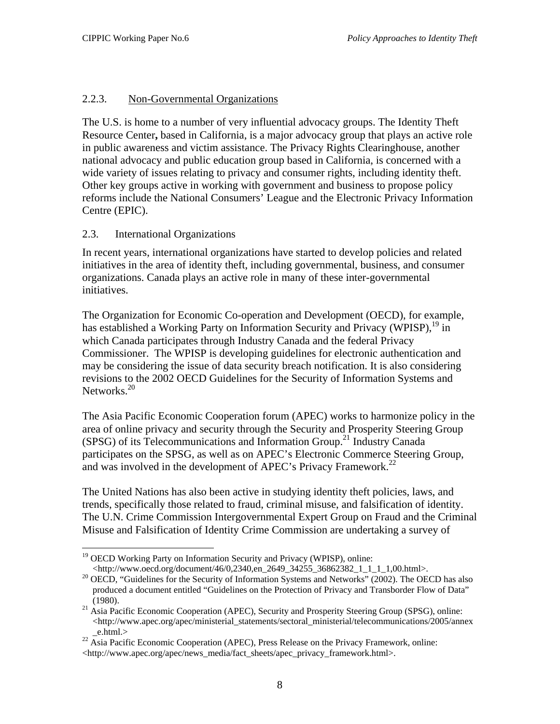# <span id="page-12-0"></span>2.2.3. Non-Governmental Organizations

The U.S. is home to a number of very influential advocacy groups. The Identity Theft Resource Center**,** based in California, is a major advocacy group that plays an active role in public awareness and victim assistance. The Privacy Rights Clearinghouse, another national advocacy and public education group based in California, is concerned with a wide variety of issues relating to privacy and consumer rights, including identity theft. Other key groups active in working with government and business to propose policy reforms include the National Consumers' League and the Electronic Privacy Information Centre (EPIC).

# 2.3. International Organizations

In recent years, international organizations have started to develop policies and related initiatives in the area of identity theft, including governmental, business, and consumer organizations. Canada plays an active role in many of these inter-governmental initiatives.

The Organization for Economic Co-operation and Development (OECD), for example, has established a Working Party on Information Security and Privacy (WPISP),  $^{19}$  in which Canada participates through Industry Canada and the federal Privacy Commissioner. The WPISP is developing guidelines for electronic authentication and may be considering the issue of data security breach notification. It is also considering revisions to the 2002 OECD Guidelines for the Security of Information Systems and Networks.<sup>20</sup>

The Asia Pacific Economic Cooperation forum (APEC) works to harmonize policy in the area of online privacy and security through the Security and Prosperity Steering Group (SPSG) of its Telecommunications and Information Group.<sup>21</sup> Industry Canada participates on the SPSG, as well as on APEC's Electronic Commerce Steering Group, and was involved in the development of APEC's Privacy Framework.<sup>22</sup>

The United Nations has also been active in studying identity theft policies, laws, and trends, specifically those related to fraud, criminal misuse, and falsification of identity. The U.N. Crime Commission Intergovernmental Expert Group on Fraud and the Criminal Misuse and Falsification of Identity Crime Commission are undertaking a survey of

<span id="page-12-1"></span> $\overline{a}$ <sup>19</sup> OECD Working Party on Information Security and Privacy (WPISP), online:<br>
<http://www.oecd.org/document/46/0,2340,en\_2649\_34255\_36862382\_1\_1\_1\_1,00.html>.

<span id="page-12-2"></span> $^{20}$  OECD, "Guidelines for the Security of Information Systems and Networks" (2002). The OECD has also produced a document entitled "Guidelines on the Protection of Privacy and Transborder Flow of Data"

<span id="page-12-3"></span><sup>(1980). &</sup>lt;sup>21</sup> Asia Pacific Economic Cooperation (APEC), Security and Prosperity Steering Group (SPSG), online: <http://www.apec.org/apec/ministerial\_statements/sectoral\_ministerial/telecommunications/2005/annex

<span id="page-12-4"></span>\_e.html.> 22 Asia Pacific Economic Cooperation (APEC), Press Release on the Privacy Framework, online: <http://www.apec.org/apec/news\_media/fact\_sheets/apec\_privacy\_framework.html>.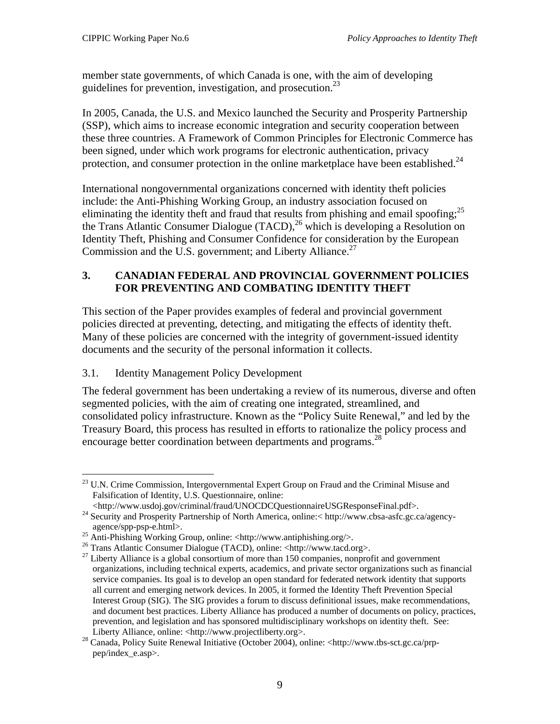<span id="page-13-0"></span>member state governments, of which Canada is one, with the aim of developing guidelines for prevention, investigation, and prosecution.<sup>23</sup>

In 2005, Canada, the U.S. and Mexico launched the Security and Prosperity Partnership (SSP), which aims to increase economic integration and security cooperation between these three countries. A Framework of Common Principles for Electronic Commerce has been signed, under which work programs for electronic authentication, privacy protection, and consumer protection in the online marketplace have been established.<sup>[24](#page-13-2)</sup>

International nongovernmental organizations concerned with identity theft policies include: the Anti-Phishing Working Group, an industry association focused on eliminating the identity theft and fraud that results from phishing and email spoofing;<sup>[25](#page-13-3)</sup> the Trans Atlantic Consumer Dialogue (TACD),<sup>26</sup> which is developing a Resolution on Identity Theft, Phishing and Consumer Confidence for consideration by the European Commission and the U.S. government; and Liberty Alliance.<sup>27</sup>

# **3. CANADIAN FEDERAL AND PROVINCIAL GOVERNMENT POLICIES FOR PREVENTING AND COMBATING IDENTITY THEFT**

This section of the Paper provides examples of federal and provincial government policies directed at preventing, detecting, and mitigating the effects of identity theft. Many of these policies are concerned with the integrity of government-issued identity documents and the security of the personal information it collects.

# 3.1. Identity Management Policy Development

The federal government has been undertaking a review of its numerous, diverse and often segmented policies, with the aim of creating one integrated, streamlined, and consolidated policy infrastructure. Known as the "Policy Suite Renewal," and led by the Treasury Board, this process has resulted in efforts to rationalize the policy process and encourage better coordination between departments and programs.<sup>28</sup>

<span id="page-13-1"></span> $\overline{a}$ <sup>23</sup> U.N. Crime Commission, Intergovernmental Expert Group on Fraud and the Criminal Misuse and Falsification of Identity, U.S. Questionnaire, online:

<span id="page-13-2"></span>

<sup>&</sup>lt;http://www.usdoj.gov/criminal/fraud/UNOCDCQuestionnaireUSGResponseFinal.pdf>. 24 Security and Prosperity Partnership of North America, online:< http://www.cbsa-asfc.gc.ca/agencyagence/spp-psp-e.html>.<br>
<sup>25</sup> Anti-Phishing Working Group, online: <http://www.antiphishing.org/>.<br>
<sup>26</sup> Trans Atlantic Consumer Dialogue (TACD), online: <http://www.tacd.org>.<br>
<sup>27</sup> Liberty Alliance is a global consortium

<span id="page-13-3"></span>

<span id="page-13-4"></span>

<span id="page-13-5"></span>organizations, including technical experts, academics, and private sector organizations such as financial service companies. Its goal is to develop an open standard for federated network identity that supports all current and emerging network devices. In 2005, it formed the Identity Theft Prevention Special Interest Group (SIG). The SIG provides a forum to discuss definitional issues, make recommendations, and document best practices. Liberty Alliance has produced a number of documents on policy, practices, prevention, and legislation and has sponsored multidisciplinary workshops on identity theft. See:

<span id="page-13-6"></span>Liberty Alliance, online: <http://www.projectliberty.org>. 28 Canada, Policy Suite Renewal Initiative (October 2004), online: <http://www.tbs-sct.gc.ca/prppep/index\_e.asp>.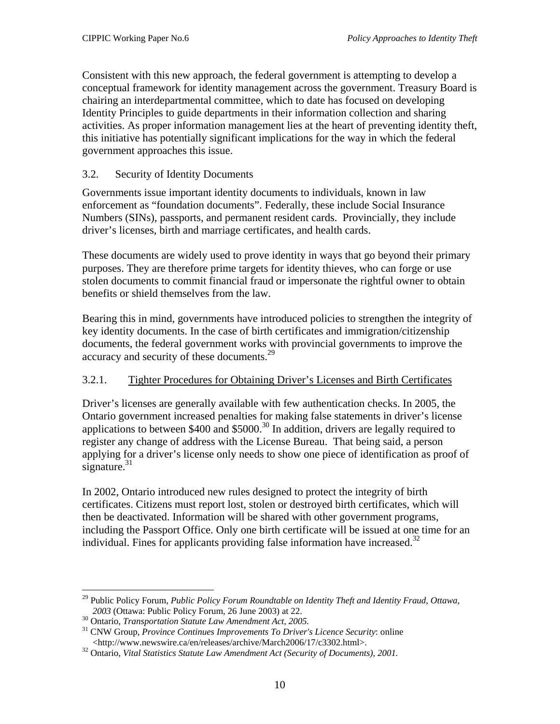<span id="page-14-0"></span>Consistent with this new approach, the federal government is attempting to develop a conceptual framework for identity management across the government. Treasury Board is chairing an interdepartmental committee, which to date has focused on developing Identity Principles to guide departments in their information collection and sharing activities. As proper information management lies at the heart of preventing identity theft, this initiative has potentially significant implications for the way in which the federal government approaches this issue.

# 3.2. Security of Identity Documents

Governments issue important identity documents to individuals, known in law enforcement as "foundation documents". Federally, these include Social Insurance Numbers (SINs), passports, and permanent resident cards. Provincially, they include driver's licenses, birth and marriage certificates, and health cards.

These documents are widely used to prove identity in ways that go beyond their primary purposes. They are therefore prime targets for identity thieves, who can forge or use stolen documents to commit financial fraud or impersonate the rightful owner to obtain benefits or shield themselves from the law.

Bearing this in mind, governments have introduced policies to strengthen the integrity of key identity documents. In the case of birth certificates and immigration/citizenship documents, the federal government works with provincial governments to improve the accuracy and security of these documents.<sup>29</sup>

# 3.2.1. Tighter Procedures for Obtaining Driver's Licenses and Birth Certificates

Driver's licenses are generally available with few authentication checks. In 2005, the Ontario government increased penalties for making false statements in driver's license applications to between  $$400$  and  $$5000.<sup>30</sup>$  In addition, drivers are legally required to register any change of address with the License Bureau. That being said, a person applying for a driver's license only needs to show one piece of identification as proof of signature. $31$ 

In 2002, Ontario introduced new rules designed to protect the integrity of birth certificates. Citizens must report lost, stolen or destroyed birth certificates, which will then be deactivated. Information will be shared with other government programs, including the Passport Office. Only one birth certificate will be issued at one time for an individual. Fines for applicants providing false information have increased.<sup>32</sup>

<span id="page-14-1"></span> $\overline{a}$ 29 Public Policy Forum, *Public Policy Forum Roundtable on Identity Theft and Identity Fraud*, *Ottawa, <sup>2003</sup>* (Ottawa: Public Policy Forum, 26 June 2003) at 22. 30 Ontario, *Transportation Statute Law Amendment Act, 2005.* 31 CNW Group, *Province Continues Improvements To Driver's Licence Security*: online

<span id="page-14-2"></span>

<span id="page-14-3"></span>

<span id="page-14-4"></span><sup>&</sup>lt;http://www.newswire.ca/en/releases/archive/March2006/17/c3302.html>. 32 Ontario, *Vital Statistics Statute Law Amendment Act (Security of Documents), 2001.*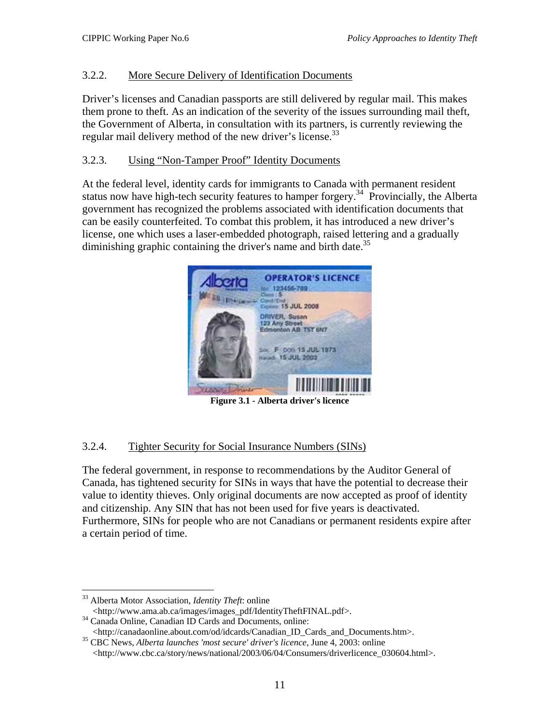# <span id="page-15-0"></span>3.2.2. More Secure Delivery of Identification Documents

Driver's licenses and Canadian passports are still delivered by regular mail. This makes them prone to theft. As an indication of the severity of the issues surrounding mail theft, the Government of Alberta, in consultation with its partners, is currently reviewing the regular mail delivery method of the new driver's license.<sup>33</sup>

#### 3.2.3. Using "Non-Tamper Proof" Identity Documents

At the federal level, identity cards for immigrants to Canada with permanent resident status now have high-tech security features to hamper forgery.[34](#page-15-2)Provincially, the Alberta government has recognized the problems associated with identification documents that can be easily counterfeited. To combat this problem, it has introduced a new driver's license, one which uses a laser-embedded photograph, raised lettering and a gradually diminishing graphic containing the driver's name and birth date.<sup>[35](#page-15-3)</sup>



**Figure 3.1 - Alberta driver's licence** 

# 3.2.4. Tighter Security for Social Insurance Numbers (SINs)

The federal government, in response to recommendations by the Auditor General of Canada, has tightened security for SINs in ways that have the potential to decrease their value to identity thieves. Only original documents are now accepted as proof of identity and citizenship. Any SIN that has not been used for five years is deactivated. Furthermore, SINs for people who are not Canadians or permanent residents expire after a certain period of time.

<span id="page-15-1"></span><sup>1</sup> 33 Alberta Motor Association, *Identity Theft*: online

<sup>&</sup>lt;http://www.ama.ab.ca/images/images\_pdf/IdentityTheftFINAL.pdf>. 34 Canada Online, Canadian ID Cards and Documents, online:

<span id="page-15-2"></span>

<span id="page-15-3"></span><sup>&</sup>lt;http://canadaonline.about.com/od/idcards/Canadian\_ID\_Cards\_and\_Documents.htm>. 35 CBC News, *Alberta launches 'most secure' driver's licence*, June 4, 2003: online <http://www.cbc.ca/story/news/national/2003/06/04/Consumers/driverlicence\_030604.html>.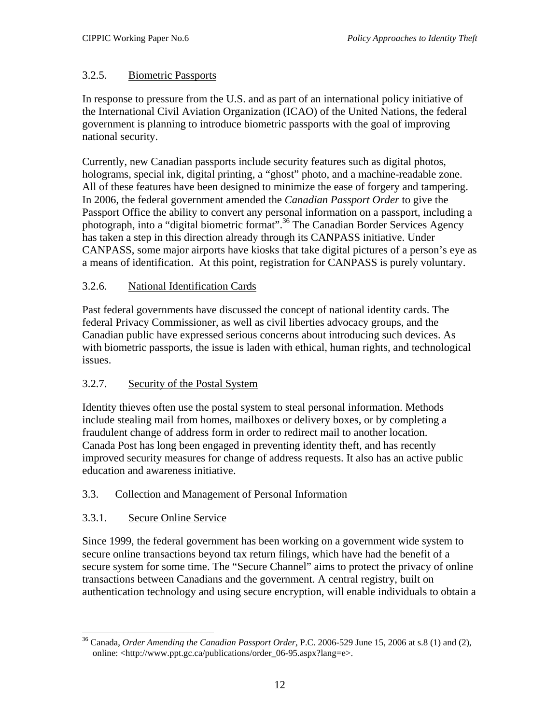# <span id="page-16-0"></span>3.2.5. Biometric Passports

In response to pressure from the U.S. and as part of an international policy initiative of the International Civil Aviation Organization (ICAO) of the United Nations, the federal government is planning to introduce biometric passports with the goal of improving national security.

Currently, new Canadian passports include security features such as digital photos, holograms, special ink, digital printing, a "ghost" photo, and a machine-readable zone. All of these features have been designed to minimize the ease of forgery and tampering. In 2006, the federal government amended the *Canadian Passport Order* to give the Passport Office the ability to convert any personal information on a passport, including a photograph, into a "digital biometric format"[.36 T](#page-16-1)he Canadian Border Services Agency has taken a step in this direction already through its CANPASS initiative. Under CANPASS, some major airports have kiosks that take digital pictures of a person's eye as a means of identification. At this point, registration for CANPASS is purely voluntary.

# 3.2.6. National Identification Cards

Past federal governments have discussed the concept of national identity cards. The federal Privacy Commissioner, as well as civil liberties advocacy groups, and the Canadian public have expressed serious concerns about introducing such devices. As with biometric passports, the issue is laden with ethical, human rights, and technological issues.

# 3.2.7. Security of the Postal System

Identity thieves often use the postal system to steal personal information. Methods include stealing mail from homes, mailboxes or delivery boxes, or by completing a fraudulent change of address form in order to redirect mail to another location. Canada Post has long been engaged in preventing identity theft, and has recently improved security measures for change of address requests. It also has an active public education and awareness initiative.

# 3.3. Collection and Management of Personal Information

# 3.3.1. Secure Online Service

Since 1999, the federal government has been working on a government wide system to secure online transactions beyond tax return filings, which have had the benefit of a secure system for some time. The "Secure Channel" aims to protect the privacy of online transactions between Canadians and the government. A central registry, built on authentication technology and using secure encryption, will enable individuals to obtain a

<span id="page-16-1"></span><sup>1</sup> 36 Canada, *Order Amending the Canadian Passport Order*, P.C. 2006-529 June 15, 2006 at s.8 (1) and (2), online: <http://www.ppt.gc.ca/publications/order\_06-95.aspx?lang=e>.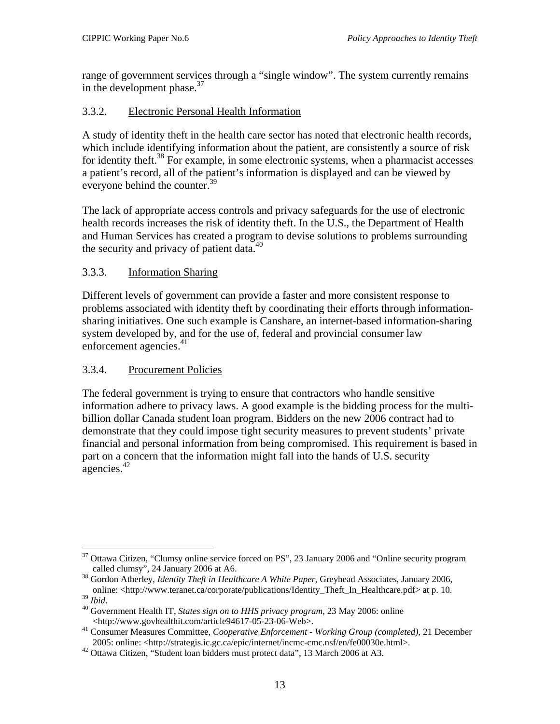<span id="page-17-0"></span>range of government services through a "single window". The system currently remains in the development phase. $37$ 

# 3.3.2. Electronic Personal Health Information

A study of identity theft in the health care sector has noted that electronic health records, which include identifying information about the patient, are consistently a source of risk for identity theft.<sup>38</sup> For example, in some electronic systems, when a pharmacist accesses a patient's record, all of the patient's information is displayed and can be viewed by everyone behind the counter.<sup>[39](#page-17-3)</sup>

The lack of appropriate access controls and privacy safeguards for the use of electronic health records increases the risk of identity theft. In the U.S., the Department of Health and Human Services has created a program to devise solutions to problems surrounding the security and privacy of patient data.<sup>[40](#page-17-4)</sup>

# 3.3.3. Information Sharing

Different levels of government can provide a faster and more consistent response to problems associated with identity theft by coordinating their efforts through informationsharing initiatives. One such example is Canshare, an internet-based information-sharing system developed by, and for the use of, federal and provincial consumer law enforcement agencies[.](#page-17-5)<sup>41</sup>

# 3.3.4. Procurement Policies

The federal government is trying to ensure that contractors who handle sensitive information adhere to privacy laws. A good example is the bidding process for the multibillion dollar Canada student loan program. Bidders on the new 2006 contract had to demonstrate that they could impose tight security measures to prevent students' private financial and personal information from being compromised. This requirement is based in part on a concern that the information might fall into the hands of U.S. security agencies[.42](#page-17-6) 

<span id="page-17-1"></span><sup>1</sup>  $37$  Ottawa Citizen, "Clumsy online service forced on PS", 23 January 2006 and "Online security program called clumsy", 24 January 2006 at A6.

<span id="page-17-2"></span><sup>&</sup>lt;sup>38</sup> Gordon Atherley, *Identity Theft in Healthcare A White Paper*, Greyhead Associates, January 2006,

<span id="page-17-3"></span>online: <http://www.teranet.ca/corporate/publications/Identity\_Theft\_In\_Healthcare.pdf> at p. 10. 39 *Ibid*. 40 Government Health IT, *States sign on to HHS privacy program*, 23 May 2006: online

<span id="page-17-4"></span>

<span id="page-17-5"></span><sup>&</sup>lt;http://www.govhealthit.com/article94617-05-23-06-Web>. 41 Consumer Measures Committee, *Cooperative Enforcement - Working Group (completed)*, 21 December 2005: online: <http://strategis.ic.gc.ca/epic/internet/incmc-cmc.nsf/en/fe00030e.html>. 42 Ottawa Citizen, "Student loan bidders must protect data", 13 March 2006 at A3.

<span id="page-17-6"></span>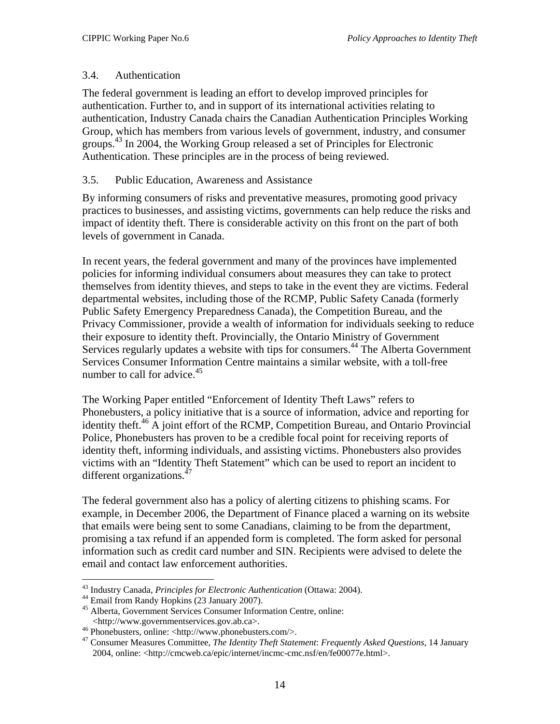# <span id="page-18-0"></span>3.4. Authentication

The federal government is leading an effort to develop improved principles for authentication. Further to, and in support of its international activities relating to authentication, Industry Canada chairs the Canadian Authentication Principles Working Group, which has members from various levels of government, industry, and consumer groups.<sup>43</sup> In 2004, the Working Group released a set of Principles for Electronic Authentication. These principles are in the process of being reviewed.

# 3.5. Public Education, Awareness and Assistance

By informing consumers of risks and preventative measures, promoting good privacy practices to businesses, and assisting victims, governments can help reduce the risks and impact of identity theft. There is considerable activity on this front on the part of both levels of government in Canada.

In recent years, the federal government and many of the provinces have implemented policies for informing individual consumers about measures they can take to protect themselves from identity thieves, and steps to take in the event they are victims. Federal departmental websites, including those of the RCMP, Public Safety Canada (formerly Public Safety Emergency Preparedness Canada), the Competition Bureau, and the Privacy Commissioner, provide a wealth of information for individuals seeking to reduce their exposure to identity theft. Provincially, the Ontario Ministry of Government Services regularly updates a website with tips for consumers.<sup>44</sup> The Alberta Government Services Consumer Information Centre maintains a similar website, with a toll-free number to call for advice.<sup>[45](#page-18-3)</sup>

The Working Paper entitled "Enforcement of Identity Theft Laws" refers to Phonebusters, a policy initiative that is a source of information, advice and reporting for identity theft.<sup>46</sup> A joint effort of the RCMP, Competition Bureau, and Ontario Provincial Police, Phonebusters has proven to be a credible focal point for receiving reports of identity theft, informing individuals, and assisting victims. Phonebusters also provides victims with an "Identity Theft Statement" which can be used to report an incident to different organizations. $47$ 

The federal government also has a policy of alerting citizens to phishing scams. For example, in December 2006, the Department of Finance placed a warning on its website that emails were being sent to some Canadians, claiming to be from the department, promising a tax refund if an appended form is completed. The form asked for personal information such as credit card number and SIN. Recipients were advised to delete the email and contact law enforcement authorities.

 $\overline{a}$ <sup>43</sup> Industry Canada, *Principles for Electronic Authentication* (Ottawa: 2004).<br><sup>44</sup> Email from Randy Hopkins (23 January 2007).<br><sup>45</sup> Alberta, Government Services Consumer Information Centre, online:

<span id="page-18-2"></span><span id="page-18-1"></span>

<span id="page-18-3"></span>

<span id="page-18-5"></span><span id="page-18-4"></span>

<sup>&</sup>lt;http://www.governmentservices.gov.ab.ca>. 46 Phonebusters, online: <http://www.phonebusters.com/>. 47 Consumer Measures Committee, *The Identity Theft Statement*: *Frequently Asked Questions*, 14 January 2004, online: <http://cmcweb.ca/epic/internet/incmc-cmc.nsf/en/fe00077e.html>.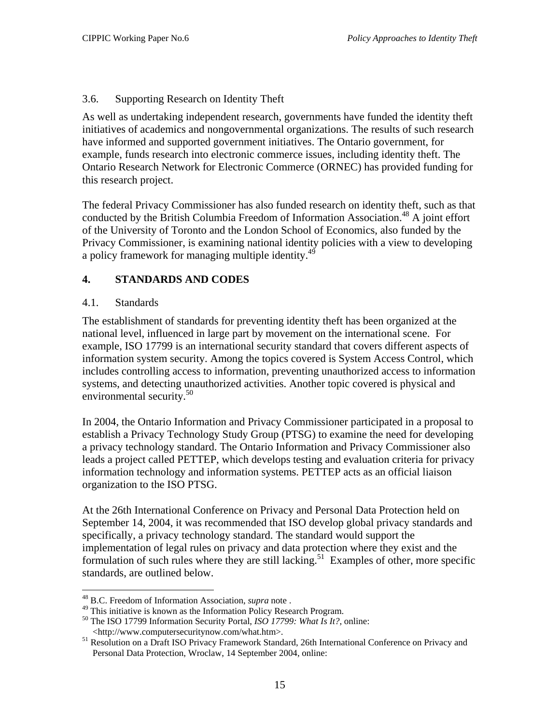# <span id="page-19-0"></span>3.6. Supporting Research on Identity Theft

As well as undertaking independent research, governments have funded the identity theft initiatives of academics and nongovernmental organizations. The results of such research have informed and supported government initiatives. The Ontario government, for example, funds research into electronic commerce issues, including identity theft. The Ontario Research Network for Electronic Commerce (ORNEC) has provided funding for this research project.

The federal Privacy Commissioner has also funded research on identity theft, such as that conducted by the British Columbia Freedom of Information Association.<sup>48</sup> A joint effort of the University of Toronto and the London School of Economics, also funded by the Privacy Commissioner, is examining national identity policies with a view to developing a policy framework for managing multiple identity.<sup>49</sup>

# **4. STANDARDS AND CODES**

# 4.1. Standards

The establishment of standards for preventing identity theft has been organized at the national level, influenced in large part by movement on the international scene. For example, ISO 17799 is an international security standard that covers different aspects of information system security. Among the topics covered is System Access Control, which includes controlling access to information, preventing unauthorized access to information systems, and detecting unauthorized activities. Another topic covered is physical and environmental security.<sup>50</sup>

In 2004, the Ontario Information and Privacy Commissioner participated in a proposal to establish a Privacy Technology Study Group (PTSG) to examine the need for developing a privacy technology standard. The Ontario Information and Privacy Commissioner also leads a project called PETTEP, which develops testing and evaluation criteria for privacy information technology and information systems. PETTEP acts as an official liaison organization to the ISO PTSG.

At the 26th International Conference on Privacy and Personal Data Protection held on September 14, 2004, it was recommended that ISO develop global privacy standards and specifically, a privacy technology standard. The standard would support the implementation of legal rules on privacy and data protection where they exist and the formulation of such rules where they are still lacking.<sup>51</sup> Examples of other, more specific standards, are outlined below.

<sup>1</sup> 

<span id="page-19-2"></span><span id="page-19-1"></span><sup>&</sup>lt;sup>48</sup> B.C. Freedom of Information Association, *supra* note .<br><sup>49</sup> This initiative is known as the Information Policy Research Program.

<span id="page-19-3"></span><sup>&</sup>lt;sup>50</sup> The ISO 17799 Information Security Portal, *ISO 17799: What Is It?*, online: <http://www.computersecuritynow.com/what.htm>. 51 Resolution on a Draft ISO Privacy Framework Standard, 26th International Conference on Privacy and

<span id="page-19-4"></span>Personal Data Protection, Wroclaw, 14 September 2004, online: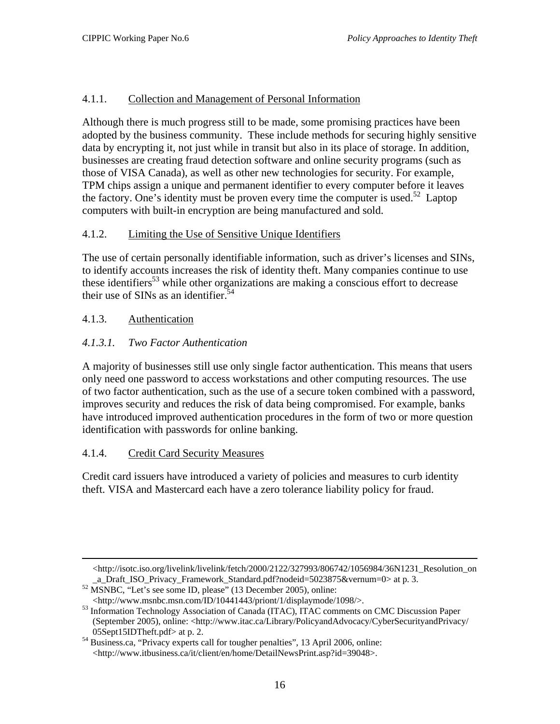# <span id="page-20-0"></span>4.1.1. Collection and Management of Personal Information

Although there is much progress still to be made, some promising practices have been adopted by the business community. These include methods for securing highly sensitive data by encrypting it, not just while in transit but also in its place of storage. In addition, businesses are creating fraud detection software and online security programs (such as those of VISA Canada), as well as other new technologies for security. For example, TPM chips assign a unique and permanent identifier to every computer before it leaves the factory. One's identity must be proven every time the computer is used.<sup>52</sup> Laptop computers with built-in encryption are being manufactured and sold.

# 4.1.2. Limiting the Use of Sensitive Unique Identifiers

The use of certain personally identifiable information, such as driver's licenses and SINs, to identify accounts increases the risk of identity theft. Many companies continue to use these identifiers<sup>53</sup> while other organizations are making a conscious effort to decrease their use of SINs as an identifier.<sup>54</sup>

# 4.1.3. Authentication

# *4.1.3.1. Two Factor Authentication*

A majority of businesses still use only single factor authentication. This means that users only need one password to access workstations and other computing resources. The use of two factor authentication, such as the use of a secure token combined with a password, improves security and reduces the risk of data being compromised. For example, banks have introduced improved authentication procedures in the form of two or more question identification with passwords for online banking.

# 4.1.4. Credit Card Security Measures

Credit card issuers have introduced a variety of policies and measures to curb identity theft. VISA and Mastercard each have a zero tolerance liability policy for fraud.

<sup>&</sup>lt;http://isotc.iso.org/livelink/livelink/fetch/2000/2122/327993/806742/1056984/36N1231\_Resolution\_on \_a\_Draft\_ISO\_Privacy\_Framework\_Standard.pdf?nodeid=5023875&vernum=0> at p. 3. 52 MSNBC, "Let's see some ID, please" (13 December 2005), online:

<span id="page-20-1"></span>

<span id="page-20-2"></span><sup>&</sup>lt;http://www.msnbc.msn.com/ID/10441443/priont/1/displaymode/1098/>. 53 Information Technology Association of Canada (ITAC), ITAC comments on CMC Discussion Paper (September 2005), online: <http://www.itac.ca/Library/PolicyandAdvocacy/CyberSecurityandPrivacy/

<span id="page-20-3"></span><sup>05</sup>Sept15IDTheft.pdf> at p. 2.<br><sup>54</sup> Business.ca, "Privacy experts call for tougher penalties", 13 April 2006, online: <http://www.itbusiness.ca/it/client/en/home/DetailNewsPrint.asp?id=39048>.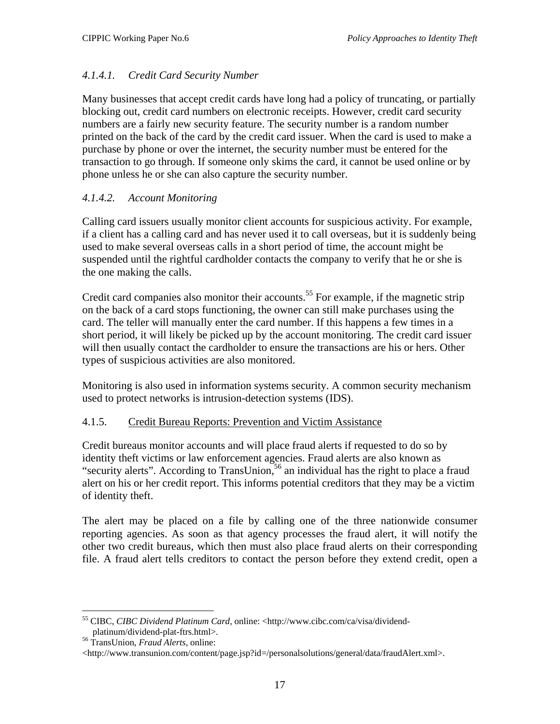# <span id="page-21-0"></span>*4.1.4.1. Credit Card Security Number*

Many businesses that accept credit cards have long had a policy of truncating, or partially blocking out, credit card numbers on electronic receipts. However, credit card security numbers are a fairly new security feature. The security number is a random number printed on the back of the card by the credit card issuer. When the card is used to make a purchase by phone or over the internet, the security number must be entered for the transaction to go through. If someone only skims the card, it cannot be used online or by phone unless he or she can also capture the security number.

# *4.1.4.2. Account Monitoring*

Calling card issuers usually monitor client accounts for suspicious activity. For example, if a client has a calling card and has never used it to call overseas, but it is suddenly being used to make several overseas calls in a short period of time, the account might be suspended until the rightful cardholder contacts the company to verify that he or she is the one making the calls.

Credit card companies also monitor their accounts.<sup>55</sup> For example, if the magnetic strip on the back of a card stops functioning, the owner can still make purchases using the card. The teller will manually enter the card number. If this happens a few times in a short period, it will likely be picked up by the account monitoring. The credit card issuer will then usually contact the cardholder to ensure the transactions are his or hers. Other types of suspicious activities are also monitored.

Monitoring is also used in information systems security. A common security mechanism used to protect networks is intrusion-detection systems (IDS).

# 4.1.5. Credit Bureau Reports: Prevention and Victim Assistance

Credit bureaus monitor accounts and will place fraud alerts if requested to do so by identity theft victims or law enforcement agencies. Fraud alerts are also known as "security alerts". According to TransUnion,<sup>56</sup> an individual has the right to place a fraud alert on his or her credit report. This informs potential creditors that they may be a victim of identity theft.

The alert may be placed on a file by calling one of the three nationwide consumer reporting agencies. As soon as that agency processes the fraud alert, it will notify the other two credit bureaus, which then must also place fraud alerts on their corresponding file. A fraud alert tells creditors to contact the person before they extend credit, open a

<span id="page-21-1"></span><sup>&</sup>lt;u>.</u> 55 CIBC, *CIBC Dividend Platinum Card*, online: <http://www.cibc.com/ca/visa/dividend-

<span id="page-21-2"></span>platinum/dividend-plat-ftrs.html>. 56 TransUnion, *Fraud Alerts*, online:

<sup>&</sup>lt;http://www.transunion.com/content/page.jsp?id=/personalsolutions/general/data/fraudAlert.xml>.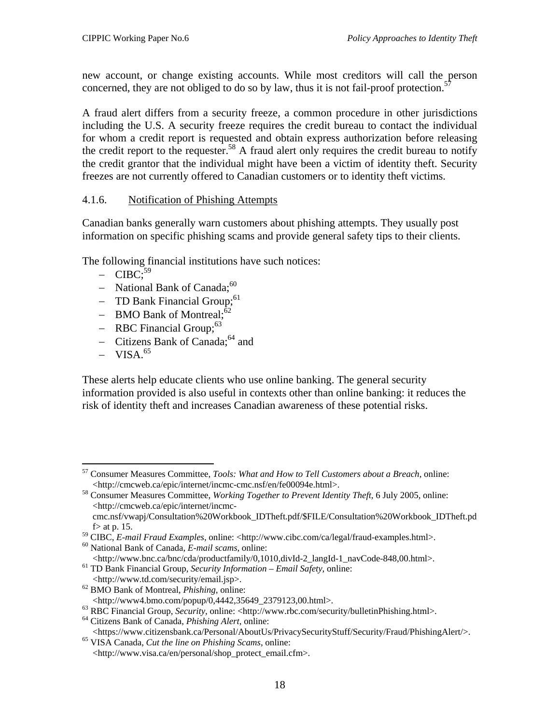<span id="page-22-0"></span>new account, or change existing accounts. While most creditors will call the person concerned, they are not obliged to do so by law, thus it is not fail-proof protection.<sup>5</sup>

A fraud alert differs from a security freeze, a common procedure in other jurisdictions including the U.S. A security freeze requires the credit bureau to contact the individual for whom a credit report is requested and obtain express authorization before releasing the credit report to the requester.<sup>58</sup> A fraud alert only requires the credit bureau to notify the credit grantor that the individual might have been a victim of identity theft. Security freezes are not currently offered to Canadian customers or to identity theft victims.

# 4.1.6. Notification of Phishing Attempts

Canadian banks generally warn customers about phishing attempts. They usually post information on specific phishing scams and provide general safety tips to their clients.

The following financial institutions have such notices:

- $-$  CIBC;<sup>[59](#page-22-3)</sup>
- − National Bank of Canada;<sup>60</sup>
- − TD Bank Financial Group;<sup>61</sup>
- $-$  BMO Bank of Montreal; $\frac{62}{ }$
- − RBC Financial Group;[63](#page-22-7)
- − Citizens Bank of Canada[;64](#page-22-8) and
- $-$  VISA.<sup>[65](#page-22-9)</sup>

These alerts help educate clients who use online banking. The general security information provided is also useful in contexts other than online banking: it reduces the risk of identity theft and increases Canadian awareness of these potential risks.

<span id="page-22-4"></span>

- <span id="page-22-5"></span><sup>61</sup> TD Bank Financial Group, *Security Information – Email Safety*, online:
- <span id="page-22-6"></span>

<span id="page-22-1"></span> $\overline{a}$ 57 Consumer Measures Committee, *Tools: What and How to Tell Customers about a Breach*, online: <http://cmcweb.ca/epic/internet/incmc-cmc.nsf/en/fe00094e.html>. 58 Consumer Measures Committee, *Working Together to Prevent Identity Theft*, 6 July 2005, online:

<span id="page-22-2"></span><sup>&</sup>lt;http://cmcweb.ca/epic/internet/incmccmc.nsf/vwapj/Consultation%20Workbook\_IDTheft.pdf/\$FILE/Consultation%20Workbook\_IDTheft.pd

 $f$  at p. 15.

<span id="page-22-3"></span><sup>59</sup> CIBC, *E-mail Fraud Examples*, online: <http://www.cibc.com/ca/legal/fraud-examples.html>. 60 National Bank of Canada, *E-mail scams*, online:

 $\langle \text{http://www.td.com/security/email.jsp}\rangle.$ <sup>62</sup> BMO Bank of Montreal, *Phishing*, online:<br> $\langle \text{http://www4.bmo.com/popup/0,4442,35649} \rangle$  2379123,00.html>.

<span id="page-22-7"></span><sup>&</sup>lt;sup>63</sup> RBC Financial Group, *Security*, online: <http://www.rbc.com/security/bulletinPhishing.html>. <sup>64</sup> Citizens Bank of Canada, *Phishing Alert*, online:

<span id="page-22-8"></span><sup>&</sup>lt;https://www.citizensbank.ca/Personal/AboutUs/PrivacySecurityStuff/Security/Fraud/PhishingAlert/>. 65 VISA Canada, *Cut the line on Phishing Scams*, online:

<span id="page-22-9"></span><sup>&</sup>lt;http://www.visa.ca/en/personal/shop\_protect\_email.cfm>.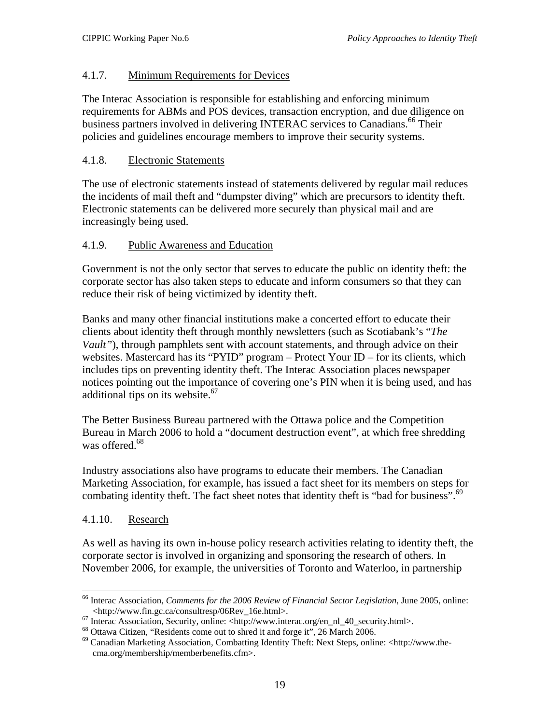# <span id="page-23-0"></span>4.1.7. Minimum Requirements for Devices

The Interac Association is responsible for establishing and enforcing minimum requirements for ABMs and POS devices, transaction encryption, and due diligence on business partners involved in delivering INTERAC services to Canadians.<sup>66</sup> Their policies and guidelines encourage members to improve their security systems.

# 4.1.8. Electronic Statements

The use of electronic statements instead of statements delivered by regular mail reduces the incidents of mail theft and "dumpster diving" which are precursors to identity theft. Electronic statements can be delivered more securely than physical mail and are increasingly being used.

#### 4.1.9. Public Awareness and Education

Government is not the only sector that serves to educate the public on identity theft: the corporate sector has also taken steps to educate and inform consumers so that they can reduce their risk of being victimized by identity theft.

Banks and many other financial institutions make a concerted effort to educate their clients about identity theft through monthly newsletters (such as Scotiabank's "*The Vault"*), through pamphlets sent with account statements, and through advice on their websites. Mastercard has its "PYID" program – Protect Your ID – for its clients, which includes tips on preventing identity theft. The Interac Association places newspaper notices pointing out the importance of covering one's PIN when it is being used, and has additional tips on its website.<sup>67</sup>

The Better Business Bureau partnered with the Ottawa police and the Competition Bureau in March 2006 to hold a "document destruction event", at which free shredding was offered.<sup>68</sup>

Industry associations also have programs to educate their members. The Canadian Marketing Association, for example, has issued a fact sheet for its members on steps for combating identity theft. The fact sheet notes that identity theft is "bad for business".<sup>[69](#page-23-4)</sup>

# 4.1.10. Research

As well as having its own in-house policy research activities relating to identity theft, the corporate sector is involved in organizing and sponsoring the research of others. In November 2006, for example, the universities of Toronto and Waterloo, in partnership

<span id="page-23-1"></span> $\overline{a}$ 66 Interac Association, *Comments for the 2006 Review of Financial Sector Legislation*, June 2005, online:

<span id="page-23-2"></span>

<span id="page-23-4"></span><span id="page-23-3"></span>

<sup>&</sup>lt;http://www.fin.gc.ca/consultresp/06Rev\_16e.html>.<br>
<sup>67</sup> Interac Association, Security, online: <http://www.interac.org/en\_nl\_40\_security.html>.<br>
<sup>68</sup> Ottawa Citizen, "Residents come out to shred it and forge it", 26 March cma.org/membership/memberbenefits.cfm>.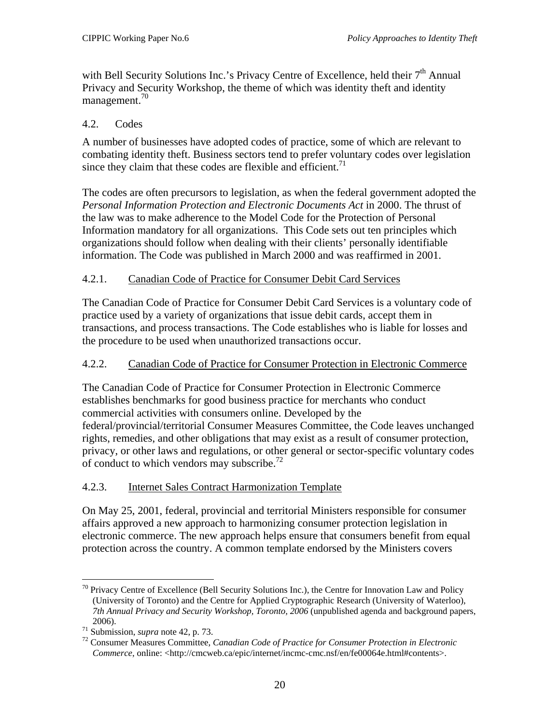<span id="page-24-0"></span>with Bell Security Solutions Inc.'s Privacy Centre of Excellence, held their 7<sup>th</sup> Annual Privacy and Security Workshop, the theme of which was identity theft and identity management. [70](#page-24-1)

# 4.2. Codes

A number of businesses have adopted codes of practice, some of which are relevant to combating identity theft. Business sectors tend to prefer voluntary codes over legislation since they claim that these codes are flexible and efficient.<sup>[71](#page-24-2)</sup>

The codes are often precursors to legislation, as when the federal government adopted the *Personal Information Protection and Electronic Documents Act* in 2000. The thrust of the law was to make adherence to the Model Code for the Protection of Personal Information mandatory for all organizations. This Code sets out ten principles which organizations should follow when dealing with their clients' personally identifiable information. The Code was published in March 2000 and was reaffirmed in 2001.

# 4.2.1. Canadian Code of Practice for Consumer Debit Card Services

The Canadian Code of Practice for Consumer Debit Card Services is a voluntary code of practice used by a variety of organizations that issue debit cards, accept them in transactions, and process transactions. The Code establishes who is liable for losses and the procedure to be used when unauthorized transactions occur.

# 4.2.2. Canadian Code of Practice for Consumer Protection in Electronic Commerce

The Canadian Code of Practice for Consumer Protection in Electronic Commerce establishes benchmarks for good business practice for merchants who conduct commercial activities with consumers online. Developed by the federal/provincial/territorial Consumer Measures Committee, the Code leaves unchanged rights, remedies, and other obligations that may exist as a result of consumer protection, privacy, or other laws and regulations, or other general or sector-specific voluntary codes of conduct to which vendors may subscribe.<sup>[72](#page-24-3)</sup>

# 4.2.3. Internet Sales Contract Harmonization Template

On May 25, 2001, federal, provincial and territorial Ministers responsible for consumer affairs approved a new approach to harmonizing consumer protection legislation in electronic commerce. The new approach helps ensure that consumers benefit from equal protection across the country. A common template endorsed by the Ministers covers

<span id="page-24-1"></span> $\overline{a}$  $70$  Privacy Centre of Excellence (Bell Security Solutions Inc.), the Centre for Innovation Law and Policy (University of Toronto) and the Centre for Applied Cryptographic Research (University of Waterloo), *7th Annual Privacy and Security Workshop, Toronto, 2006* (unpublished agenda and background papers,

<span id="page-24-3"></span><span id="page-24-2"></span>

<sup>2006).&</sup>lt;br><sup>71</sup> Submission, *supra* note 42, p. 73.<br><sup>72</sup> Consumer Measures Committee, *Canadian Code of Practice for Consumer Protection in Electronic Commerce*, online: <http://cmcweb.ca/epic/internet/incmc-cmc.nsf/en/fe00064e.html#contents>.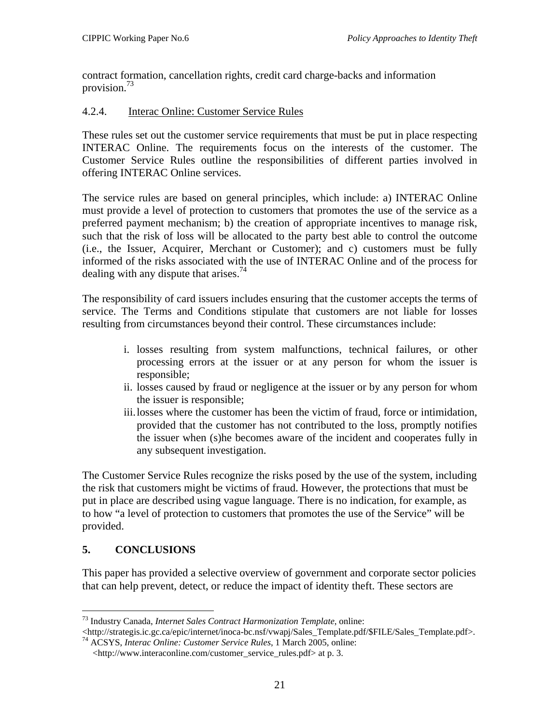<span id="page-25-0"></span>contract formation, cancellation rights, credit card charge-backs and information provision[.73](#page-25-1)

# 4.2.4. Interac Online: Customer Service Rules

These rules set out the customer service requirements that must be put in place respecting INTERAC Online. The requirements focus on the interests of the customer. The Customer Service Rules outline the responsibilities of different parties involved in offering INTERAC Online services.

The service rules are based on general principles, which include: a) INTERAC Online must provide a level of protection to customers that promotes the use of the service as a preferred payment mechanism; b) the creation of appropriate incentives to manage risk, such that the risk of loss will be allocated to the party best able to control the outcome (i.e., the Issuer, Acquirer, Merchant or Customer); and c) customers must be fully informed of the risks associated with the use of INTERAC Online and of the process for dealing with any dispute that arises.<sup>[74](#page-25-2)</sup>

The responsibility of card issuers includes ensuring that the customer accepts the terms of service. The Terms and Conditions stipulate that customers are not liable for losses resulting from circumstances beyond their control. These circumstances include:

- i. losses resulting from system malfunctions, technical failures, or other processing errors at the issuer or at any person for whom the issuer is responsible;
- ii. losses caused by fraud or negligence at the issuer or by any person for whom the issuer is responsible;
- iii.losses where the customer has been the victim of fraud, force or intimidation, provided that the customer has not contributed to the loss, promptly notifies the issuer when (s)he becomes aware of the incident and cooperates fully in any subsequent investigation.

The Customer Service Rules recognize the risks posed by the use of the system, including the risk that customers might be victims of fraud. However, the protections that must be put in place are described using vague language. There is no indication, for example, as to how "a level of protection to customers that promotes the use of the Service" will be provided.

# **5. CONCLUSIONS**

 $\overline{a}$ 

This paper has provided a selective overview of government and corporate sector policies that can help prevent, detect, or reduce the impact of identity theft. These sectors are

<span id="page-25-1"></span>

<sup>73</sup> Industry Canada, *Internet Sales Contract Harmonization Template*, online: <sup>74</sup> ACSYS, *Interac Online: Customer Service Rules*, 1 March 2005, online:

<span id="page-25-2"></span><sup>&</sup>lt;http://www.interaconline.com/customer\_service\_rules.pdf> at p. 3.